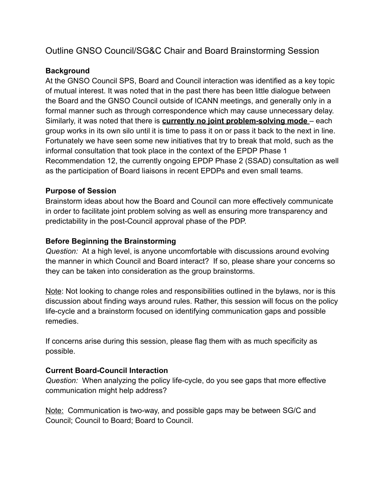# Outline GNSO Council/SG&C Chair and Board Brainstorming Session

## **Background**

At the GNSO Council SPS, Board and Council interaction was identified as a key topic of mutual interest. It was noted that in the past there has been little dialogue between the Board and the GNSO Council outside of ICANN meetings, and generally only in a formal manner such as through correspondence which may cause unnecessary delay. Similarly, it was noted that there is **currently no joint problem-solving mode** – each group works in its own silo until it is time to pass it on or pass it back to the next in line. Fortunately we have seen some new initiatives that try to break that mold, such as the informal consultation that took place in the context of the EPDP Phase 1 Recommendation 12, the currently ongoing EPDP Phase 2 (SSAD) consultation as well as the participation of Board liaisons in recent EPDPs and even small teams.

### **Purpose of Session**

Brainstorm ideas about how the Board and Council can more effectively communicate in order to facilitate joint problem solving as well as ensuring more transparency and predictability in the post-Council approval phase of the PDP.

### **Before Beginning the Brainstorming**

*Question:* At a high level, is anyone uncomfortable with discussions around evolving the manner in which Council and Board interact? If so, please share your concerns so they can be taken into consideration as the group brainstorms.

Note: Not looking to change roles and responsibilities outlined in the bylaws, nor is this discussion about finding ways around rules. Rather, this session will focus on the policy life-cycle and a brainstorm focused on identifying communication gaps and possible remedies.

If concerns arise during this session, please flag them with as much specificity as possible.

### **Current Board-Council Interaction**

*Question:* When analyzing the policy life-cycle, do you see gaps that more effective communication might help address?

Note: Communication is two-way, and possible gaps may be between SG/C and Council; Council to Board; Board to Council.